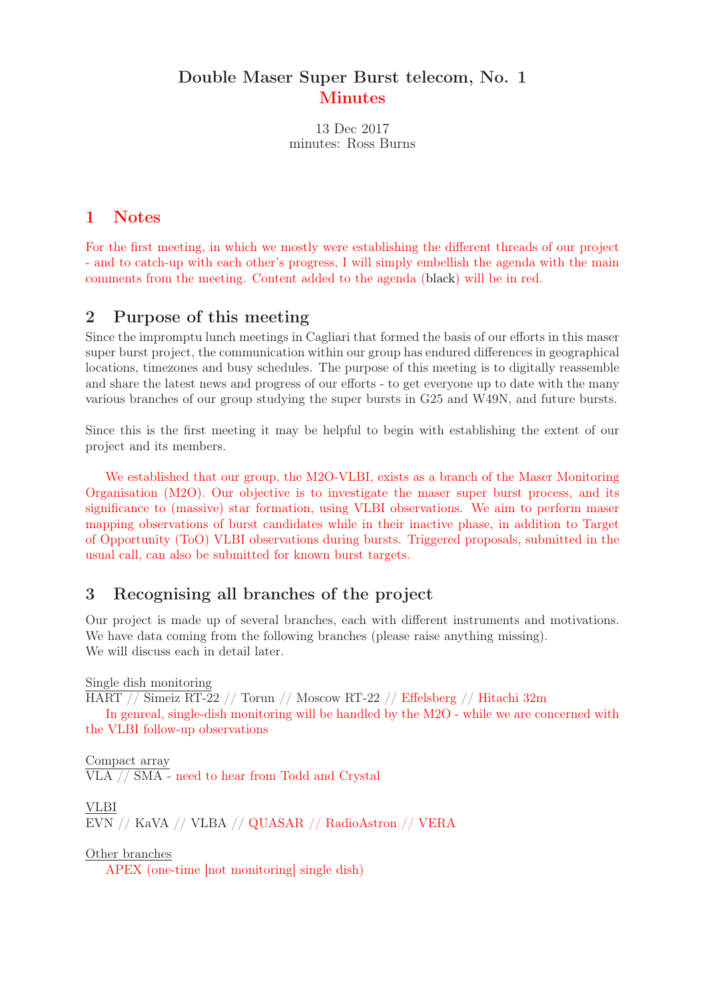## Double Maser Super Burst telecom, No. 1 **Minutes**

minutes: Ross Burns 13 Dec 2017

#### 1 Notes

For the first meeting, in which we mostly were establishing the different threads of our project - and to catch-up with each other's progress, I will simply embellish the agenda with the main comments from the meeting. Content added to the agenda (black) will be in red.

#### 2 Purpose of this meeting

Since the impromptu lunch meetings in Cagliari that formed the basis of our efforts in this maser super burst project, the communication within our group has endured differences in geographical locations, timezones and busy schedules. The purpose of this meeting is to digitally reassemble and share the latest news and progress of our efforts - to get everyone up to date with the many various branches of our group studying the super bursts in G25 and W49N, and future bursts.

Since this is the first meeting it may be helpful to begin with establishing the extent of our project and its members.

We established that our group, the M2O-VLBI, exists as a branch of the Maser Monitoring Organisation (M2O). Our objective is to investigate the maser super burst process, and its significance to (massive) star formation, using VLBI observations. We aim to perform maser mapping observations of burst candidates while in their inactive phase, in addition to Target of Opportunity (ToO) VLBI observations during bursts. Triggered proposals, submitted in the usual call, can also be submitted for known burst targets.

# 3 Recognising all branches of the project

Our project is made up of several branches, each with different instruments and motivations. We have data coming from the following branches (please raise anything missing). We will discuss each in detail later.

Single dish monitoring

HART // Simeiz RT-22 // Torun // Moscow RT-22 // Effelsberg // Hitachi 32m

In genreal, single-dish monitoring will be handled by the M2O - while we are concerned with the VLBI follow-up observations

Compact array VLA // SMA - need to hear from Todd and Crystal

VLBI EVN // KaVA // VLBA // QUASAR // RadioAstron // VERA

Other branches

APEX (one-time [not monitoring] single dish)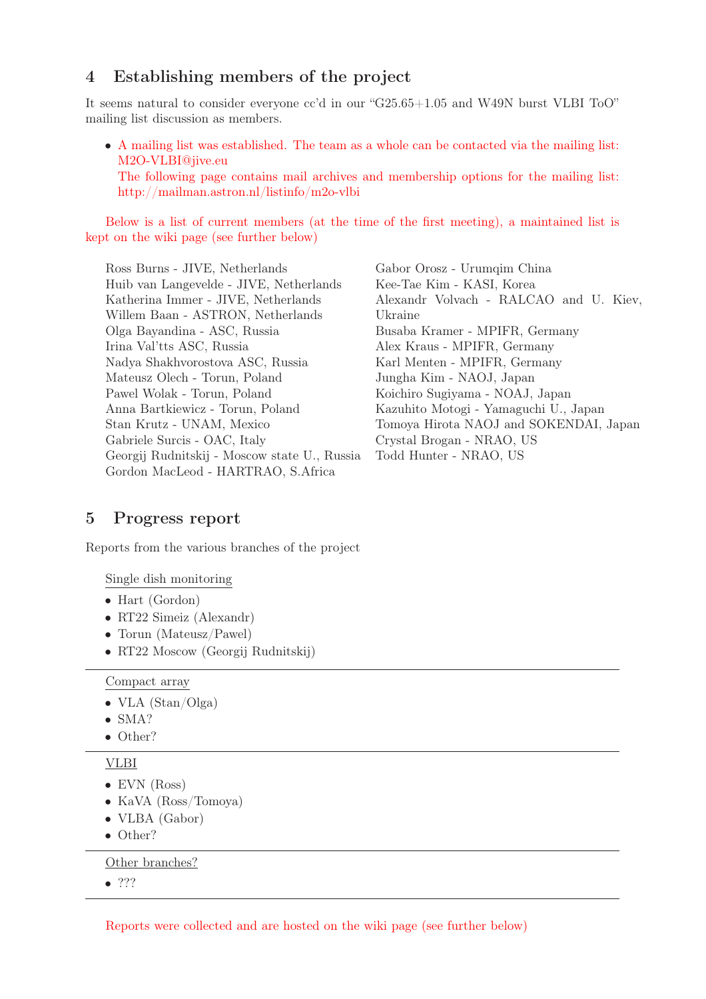## 4 Establishing members of the project

It seems natural to consider everyone cc'd in our "G25.65+1.05 and W49N burst VLBI ToO" mailing list discussion as members.

• A mailing list was established. The team as a whole can be contacted via the mailing list: M2O-VLBI@jive.eu

The following page contains mail archives and membership options for the mailing list: http://mailman.astron.nl/listinfo/m2o-vlbi

Below is a list of current members (at the time of the first meeting), a maintained list is kept on the wiki page (see further below)

Ross Burns - JIVE, Netherlands Huib van Langevelde - JIVE, Netherlands Katherina Immer - JIVE, Netherlands Willem Baan - ASTRON, Netherlands Olga Bayandina - ASC, Russia Irina Val'tts ASC, Russia Nadya Shakhvorostova ASC, Russia Mateusz Olech - Torun, Poland Pawel Wolak - Torun, Poland Anna Bartkiewicz - Torun, Poland Stan Krutz - UNAM, Mexico Gabriele Surcis - OAC, Italy Georgij Rudnitskij - Moscow state U., Russia Gordon MacLeod - HARTRAO, S.Africa

Gabor Orosz - Urumqim China Kee-Tae Kim - KASI, Korea Alexandr Volvach - RALCAO and U. Kiev, Ukraine Busaba Kramer - MPIFR, Germany Alex Kraus - MPIFR, Germany Karl Menten - MPIFR, Germany Jungha Kim - NAOJ, Japan Koichiro Sugiyama - NOAJ, Japan Kazuhito Motogi - Yamaguchi U., Japan Tomoya Hirota NAOJ and SOKENDAI, Japan Crystal Brogan - NRAO, US Todd Hunter - NRAO, US

#### 5 Progress report

Reports from the various branches of the project

Single dish monitoring

- Hart (Gordon)
- RT22 Simeiz (Alexandr)
- Torun (Mateusz/Pawel)
- RT22 Moscow (Georgij Rudnitskij)

Compact array

- VLA  $(Stan/Olga)$
- SMA?
- Other?

VLBI

- EVN (Ross)
- KaVA (Ross/Tomoya)
- VLBA (Gabor)
- Other?

Other branches?

• ???

Reports were collected and are hosted on the wiki page (see further below)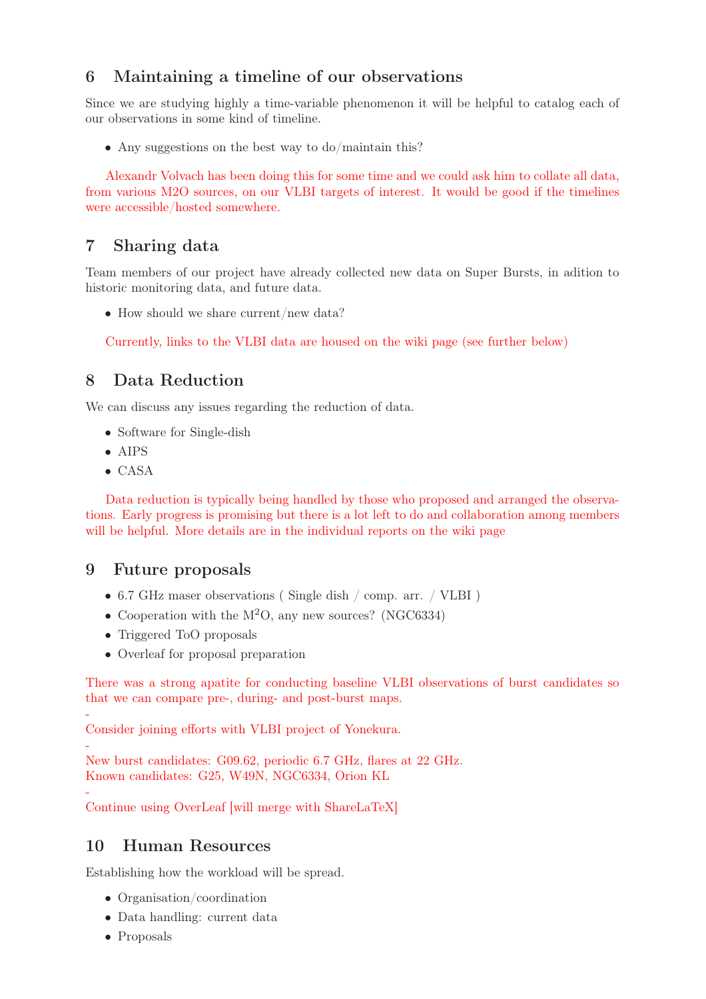# 6 Maintaining a timeline of our observations

Since we are studying highly a time-variable phenomenon it will be helpful to catalog each of our observations in some kind of timeline.

• Any suggestions on the best way to do/maintain this?

Alexandr Volvach has been doing this for some time and we could ask him to collate all data, from various M2O sources, on our VLBI targets of interest. It would be good if the timelines were accessible/hosted somewhere.

#### 7 Sharing data

Team members of our project have already collected new data on Super Bursts, in adition to historic monitoring data, and future data.

• How should we share current/new data?

Currently, links to the VLBI data are housed on the wiki page (see further below)

# 8 Data Reduction

We can discuss any issues regarding the reduction of data.

- Software for Single-dish
- AIPS
- CASA

Data reduction is typically being handled by those who proposed and arranged the observations. Early progress is promising but there is a lot left to do and collaboration among members will be helpful. More details are in the individual reports on the wiki page

#### 9 Future proposals

- 6.7 GHz maser observations ( Single dish / comp. arr. / VLBI )
- Cooperation with the  $M<sup>2</sup>O$ , any new sources? (NGC6334)
- Triggered ToO proposals
- Overleaf for proposal preparation

There was a strong apatite for conducting baseline VLBI observations of burst candidates so that we can compare pre-, during- and post-burst maps.

- Consider joining efforts with VLBI project of Yonekura.

- New burst candidates: G09.62, periodic 6.7 GHz, flares at 22 GHz. Known candidates: G25, W49N, NGC6334, Orion KL

- Continue using OverLeaf [will merge with ShareLaTeX]

# 10 Human Resources

Establishing how the workload will be spread.

- Organisation/coordination
- Data handling: current data
- Proposals